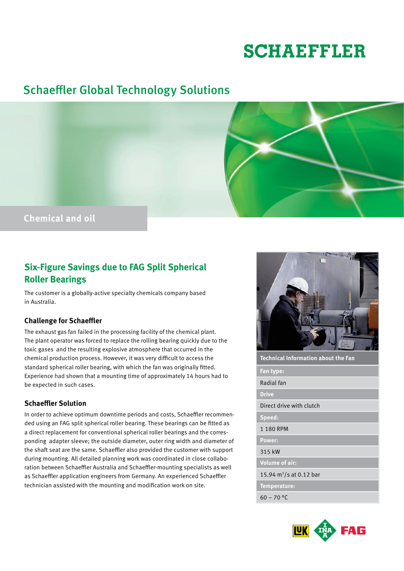# **SCHAEFFLER**

## Schaeffler Global Technology Solutions



### **Six-Figure Savings due to FAG Split Spherical Roller Bearings**

The customer is a globally-active specialty chemicals company based in Australia.

#### **Challenge for Schaeffler**

The exhaust gas fan failed in the processing facility of the chemical plant. The plant operator was forced to replace the rolling bearing quickly due to the toxic gases and the resulting explosive atmosphere that occurred in the chemical production process. However, it was very difficult to access the standard spherical roller bearing, with which the fan was originally fitted. Experience had shown that a mounting time of approximately 14 hours had to be expected in such cases.

#### **Schaeffler Solution**

In order to achieve optimum downtime periods and costs, Schaeffler recommended using an FAG split spherical roller bearing. These bearings can be fitted as a direct replacement for conventional spherical roller bearings and the corresponding adapter sleeve; the outside diameter, outer ring width and diameter of the shaft seat are the same. Schaeffler also provided the customer with support during mounting. All detailed planning work was coordinated in close collaboration between Schaeffler Australia and Schaeffler-mounting specialists as well as Schaeffler application engineers from Germany. An experienced Schaeffler technician assisted with the mounting and modification work on site.



| Technical Information about the Fan |  |  |
|-------------------------------------|--|--|
| Fan type:                           |  |  |
| Radial fan                          |  |  |
| <b>Drive</b>                        |  |  |
| Direct drive with clutch            |  |  |
| Speed:                              |  |  |
| 1 180 RPM                           |  |  |
| Power:                              |  |  |
| 315 kW                              |  |  |
| <b>Volume of air:</b>               |  |  |
| 15.94 $m^3/s$ at 0.12 bar           |  |  |
| Temperature:                        |  |  |
| $60 - 70$ °C                        |  |  |
|                                     |  |  |